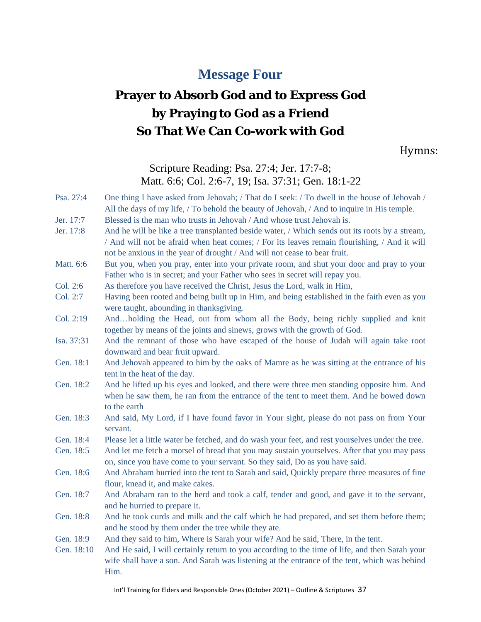## **Message Four**

# **Prayer to Absorb God and to Express God by Praying to God as a Friend So That We Can Co-work with God**

Hymns:

Scripture Reading: Psa. 27:4; Jer. 17:7-8; Matt. 6:6; Col. 2:6-7, 19; Isa. 37:31; Gen. 18:1-22

| Psa. 27:4  | One thing I have asked from Jehovah; / That do I seek: / To dwell in the house of Jehovah /<br>All the days of my life, / To behold the beauty of Jehovah, / And to inquire in His temple.                                                                                  |
|------------|-----------------------------------------------------------------------------------------------------------------------------------------------------------------------------------------------------------------------------------------------------------------------------|
| Jer. 17:7  | Blessed is the man who trusts in Jehovah / And whose trust Jehovah is.                                                                                                                                                                                                      |
| Jer. 17:8  | And he will be like a tree transplanted beside water, / Which sends out its roots by a stream,<br>/ And will not be afraid when heat comes; / For its leaves remain flourishing, / And it will<br>not be anxious in the year of drought / And will not cease to bear fruit. |
| Matt. 6:6  | But you, when you pray, enter into your private room, and shut your door and pray to your<br>Father who is in secret; and your Father who sees in secret will repay you.                                                                                                    |
| Col. 2:6   | As therefore you have received the Christ, Jesus the Lord, walk in Him,                                                                                                                                                                                                     |
| Col. 2:7   | Having been rooted and being built up in Him, and being established in the faith even as you<br>were taught, abounding in thanksgiving.                                                                                                                                     |
| Col. 2:19  | Andholding the Head, out from whom all the Body, being richly supplied and knit<br>together by means of the joints and sinews, grows with the growth of God.                                                                                                                |
| Isa. 37:31 | And the remnant of those who have escaped of the house of Judah will again take root<br>downward and bear fruit upward.                                                                                                                                                     |
| Gen. 18:1  | And Jehovah appeared to him by the oaks of Mamre as he was sitting at the entrance of his<br>tent in the heat of the day.                                                                                                                                                   |
| Gen. 18:2  | And he lifted up his eyes and looked, and there were three men standing opposite him. And<br>when he saw them, he ran from the entrance of the tent to meet them. And he bowed down<br>to the earth                                                                         |
| Gen. 18:3  | And said, My Lord, if I have found favor in Your sight, please do not pass on from Your<br>servant.                                                                                                                                                                         |
| Gen. 18:4  | Please let a little water be fetched, and do wash your feet, and rest yourselves under the tree.                                                                                                                                                                            |
| Gen. 18:5  | And let me fetch a morsel of bread that you may sustain yourselves. After that you may pass<br>on, since you have come to your servant. So they said, Do as you have said.                                                                                                  |
| Gen. 18:6  | And Abraham hurried into the tent to Sarah and said, Quickly prepare three measures of fine<br>flour, knead it, and make cakes.                                                                                                                                             |
| Gen. 18:7  | And Abraham ran to the herd and took a calf, tender and good, and gave it to the servant,<br>and he hurried to prepare it.                                                                                                                                                  |
| Gen. 18:8  | And he took curds and milk and the calf which he had prepared, and set them before them;<br>and he stood by them under the tree while they ate.                                                                                                                             |
| Gen. 18:9  | And they said to him, Where is Sarah your wife? And he said, There, in the tent.                                                                                                                                                                                            |
| Gen. 18:10 | And He said, I will certainly return to you according to the time of life, and then Sarah your<br>wife shall have a son. And Sarah was listening at the entrance of the tent, which was behind<br>Him.                                                                      |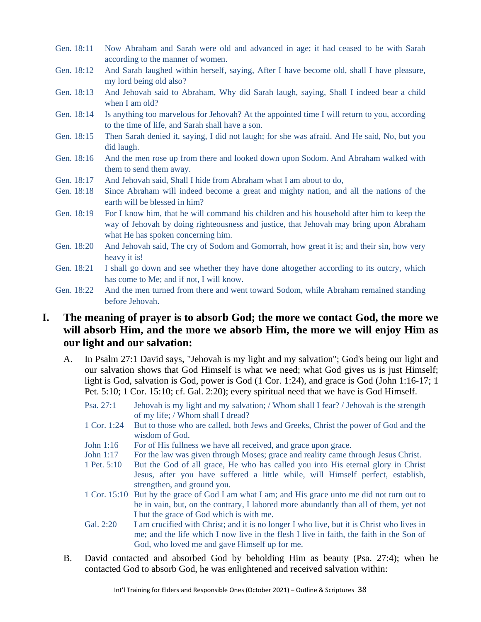- Gen. 18:11 Now Abraham and Sarah were old and advanced in age; it had ceased to be with Sarah according to the manner of women.
- Gen. 18:12 And Sarah laughed within herself, saying, After I have become old, shall I have pleasure, my lord being old also?
- Gen. 18:13 And Jehovah said to Abraham, Why did Sarah laugh, saying, Shall I indeed bear a child when I am old?
- Gen. 18:14 Is anything too marvelous for Jehovah? At the appointed time I will return to you, according to the time of life, and Sarah shall have a son.
- Gen. 18:15 Then Sarah denied it, saying, I did not laugh; for she was afraid. And He said, No, but you did laugh.
- Gen. 18:16 And the men rose up from there and looked down upon Sodom. And Abraham walked with them to send them away.
- Gen. 18:17 And Jehovah said, Shall I hide from Abraham what I am about to do,
- Gen. 18:18 Since Abraham will indeed become a great and mighty nation, and all the nations of the earth will be blessed in him?
- Gen. 18:19 For I know him, that he will command his children and his household after him to keep the way of Jehovah by doing righteousness and justice, that Jehovah may bring upon Abraham what He has spoken concerning him.
- Gen. 18:20 And Jehovah said, The cry of Sodom and Gomorrah, how great it is; and their sin, how very heavy it is!
- Gen. 18:21 I shall go down and see whether they have done altogether according to its outcry, which has come to Me; and if not, I will know.
- Gen. 18:22 And the men turned from there and went toward Sodom, while Abraham remained standing before Jehovah.

### **I. The meaning of prayer is to absorb God; the more we contact God, the more we will absorb Him, and the more we absorb Him, the more we will enjoy Him as our light and our salvation:**

- A. In Psalm 27:1 David says, "Jehovah is my light and my salvation"; God's being our light and our salvation shows that God Himself is what we need; what God gives us is just Himself; light is God, salvation is God, power is God  $(1 \text{ Cor. } 1:24)$ , and grace is God  $(John 1:16-17; 1)$ Pet. 5:10; 1 Cor. 15:10; cf. Gal. 2:20); every spiritual need that we have is God Himself.
	- Psa. 27:1 Jehovah is my light and my salvation; / Whom shall I fear? / Jehovah is the strength of my life; / Whom shall I dread?
	- 1 Cor. 1:24 But to those who are called, both Jews and Greeks, Christ the power of God and the wisdom of God.
	- John 1:16 For of His fullness we have all received, and grace upon grace.
	- John 1:17 For the law was given through Moses; grace and reality came through Jesus Christ.
	- 1 Pet. 5:10 But the God of all grace, He who has called you into His eternal glory in Christ Jesus, after you have suffered a little while, will Himself perfect, establish, strengthen, and ground you.
	- 1 Cor. 15:10 But by the grace of God I am what I am; and His grace unto me did not turn out to be in vain, but, on the contrary, I labored more abundantly than all of them, yet not I but the grace of God which is with me.
	- Gal. 2:20 I am crucified with Christ; and it is no longer I who live, but it is Christ who lives in me; and the life which I now live in the flesh I live in faith, the faith in the Son of God, who loved me and gave Himself up for me.
- B. David contacted and absorbed God by beholding Him as beauty (Psa. 27:4); when he contacted God to absorb God, he was enlightened and received salvation within: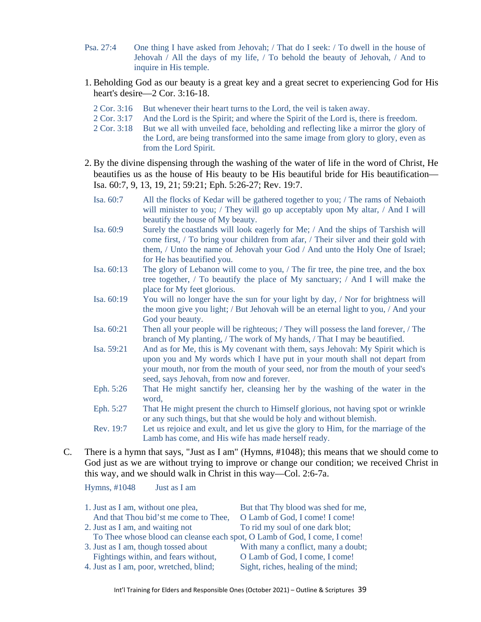- Psa. 27:4 One thing I have asked from Jehovah; / That do I seek: / To dwell in the house of Jehovah / All the days of my life, / To behold the beauty of Jehovah, / And to inquire in His temple.
- 1. Beholding God as our beauty is a great key and a great secret to experiencing God for His heart's desire—2 Cor. 3:16-18.
	- 2 Cor. 3:16 But whenever their heart turns to the Lord, the veil is taken away.
	- 2 Cor. 3:17 And the Lord is the Spirit; and where the Spirit of the Lord is, there is freedom.
	- 2 Cor. 3:18 But we all with unveiled face, beholding and reflecting like a mirror the glory of the Lord, are being transformed into the same image from glory to glory, even as from the Lord Spirit.
- 2. By the divine dispensing through the washing of the water of life in the word of Christ, He beautifies us as the house of His beauty to be His beautiful bride for His beautification— Isa. 60:7, 9, 13, 19, 21; 59:21; Eph. 5:26-27; Rev. 19:7.
	- Isa. 60:7 All the flocks of Kedar will be gathered together to you; / The rams of Nebaioth will minister to you; / They will go up acceptably upon My altar, / And I will beautify the house of My beauty.
	- Isa. 60:9 Surely the coastlands will look eagerly for Me; / And the ships of Tarshish will come first, / To bring your children from afar, / Their silver and their gold with them, / Unto the name of Jehovah your God / And unto the Holy One of Israel; for He has beautified you.
	- Isa. 60:13 The glory of Lebanon will come to you, / The fir tree, the pine tree, and the box tree together, / To beautify the place of My sanctuary; / And I will make the place for My feet glorious.
	- Isa. 60:19 You will no longer have the sun for your light by day, / Nor for brightness will the moon give you light; / But Jehovah will be an eternal light to you, / And your God your beauty.
	- Isa. 60:21 Then all your people will be righteous; / They will possess the land forever, / The branch of My planting, / The work of My hands, / That I may be beautified.
	- Isa. 59:21 And as for Me, this is My covenant with them, says Jehovah: My Spirit which is upon you and My words which I have put in your mouth shall not depart from your mouth, nor from the mouth of your seed, nor from the mouth of your seed's seed, says Jehovah, from now and forever.
	- Eph. 5:26 That He might sanctify her, cleansing her by the washing of the water in the word,
	- Eph. 5:27 That He might present the church to Himself glorious, not having spot or wrinkle or any such things, but that she would be holy and without blemish.

Rev. 19:7 Let us rejoice and exult, and let us give the glory to Him, for the marriage of the Lamb has come, and His wife has made herself ready.

C. There is a hymn that says, "Just as I am" (Hymns, #1048); this means that we should come to God just as we are without trying to improve or change our condition; we received Christ in this way, and we should walk in Christ in this way—Col. 2:6-7a.

Hymns, #1048 Just as I am

| 1. Just as I am, without one plea,                                        | But that Thy blood was shed for me, |
|---------------------------------------------------------------------------|-------------------------------------|
| And that Thou bid'st me come to Thee,                                     | O Lamb of God, I come! I come!      |
| 2. Just as I am, and waiting not                                          | To rid my soul of one dark blot;    |
| To Thee whose blood can cleanse each spot, O Lamb of God, I come, I come! |                                     |
| 3. Just as I am, though tossed about                                      | With many a conflict, many a doubt; |
| Fightings within, and fears without,                                      | O Lamb of God, I come, I come!      |
| 4. Just as I am, poor, wretched, blind;                                   | Sight, riches, healing of the mind; |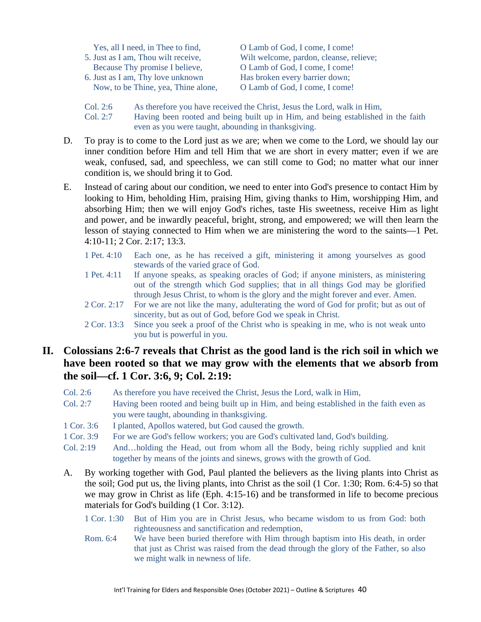| Yes, all I need, in Thee to find,   | O Lamb of God, I come, I come!          |
|-------------------------------------|-----------------------------------------|
| 5. Just as I am, Thou wilt receive, | Wilt welcome, pardon, cleanse, relieve; |
| Because Thy promise I believe,      | O Lamb of God, I come, I come!          |
| 6. Just as I am, Thy love unknown   | Has broken every barrier down;          |
| Now, to be Thine, yea, Thine alone, | O Lamb of God, I come, I come!          |
|                                     |                                         |

Col. 2:6 As therefore you have received the Christ, Jesus the Lord, walk in Him,

- Col. 2:7 Having been rooted and being built up in Him, and being established in the faith even as you were taught, abounding in thanksgiving.
- D. To pray is to come to the Lord just as we are; when we come to the Lord, we should lay our inner condition before Him and tell Him that we are short in every matter; even if we are weak, confused, sad, and speechless, we can still come to God; no matter what our inner condition is, we should bring it to God.
- E. Instead of caring about our condition, we need to enter into God's presence to contact Him by looking to Him, beholding Him, praising Him, giving thanks to Him, worshipping Him, and absorbing Him; then we will enjoy God's riches, taste His sweetness, receive Him as light and power, and be inwardly peaceful, bright, strong, and empowered; we will then learn the lesson of staying connected to Him when we are ministering the word to the saints—1 Pet. 4:10-11; 2 Cor. 2:17; 13:3.
	- 1 Pet. 4:10 Each one, as he has received a gift, ministering it among yourselves as good stewards of the varied grace of God.
	- 1 Pet. 4:11 If anyone speaks, as speaking oracles of God; if anyone ministers, as ministering out of the strength which God supplies; that in all things God may be glorified through Jesus Christ, to whom is the glory and the might forever and ever. Amen.
	- 2 Cor. 2:17 For we are not like the many, adulterating the word of God for profit; but as out of sincerity, but as out of God, before God we speak in Christ.
	- 2 Cor. 13:3 Since you seek a proof of the Christ who is speaking in me, who is not weak unto you but is powerful in you.

### **II. Colossians 2:6-7 reveals that Christ as the good land is the rich soil in which we have been rooted so that we may grow with the elements that we absorb from the soil—cf. 1 Cor. 3:6, 9; Col. 2:19:**

- Col. 2:6 As therefore you have received the Christ, Jesus the Lord, walk in Him,
- Col. 2:7 Having been rooted and being built up in Him, and being established in the faith even as you were taught, abounding in thanksgiving.
- 1 Cor. 3:6 I planted, Apollos watered, but God caused the growth.
- 1 Cor. 3:9 For we are God's fellow workers; you are God's cultivated land, God's building.
- Col. 2:19 And…holding the Head, out from whom all the Body, being richly supplied and knit together by means of the joints and sinews, grows with the growth of God.
- A. By working together with God, Paul planted the believers as the living plants into Christ as the soil; God put us, the living plants, into Christ as the soil (1 Cor. 1:30; Rom. 6:4-5) so that we may grow in Christ as life (Eph. 4:15-16) and be transformed in life to become precious materials for God's building (1 Cor. 3:12).
	- 1 Cor. 1:30 But of Him you are in Christ Jesus, who became wisdom to us from God: both righteousness and sanctification and redemption,
	- Rom. 6:4 We have been buried therefore with Him through baptism into His death, in order that just as Christ was raised from the dead through the glory of the Father, so also we might walk in newness of life.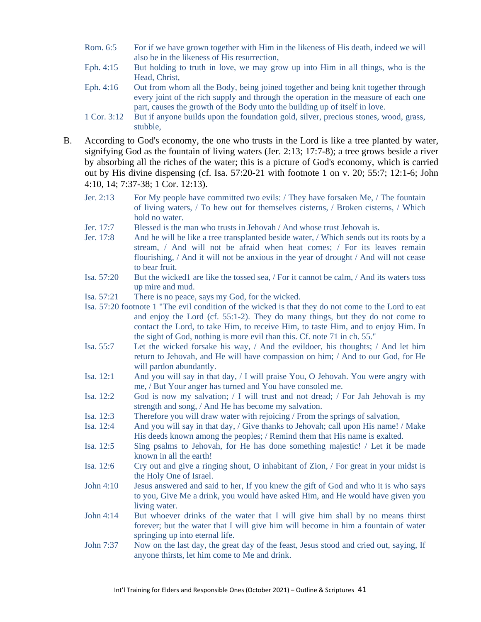- Rom. 6:5 For if we have grown together with Him in the likeness of His death, indeed we will also be in the likeness of His resurrection,
- Eph. 4:15 But holding to truth in love, we may grow up into Him in all things, who is the Head, Christ,
- Eph. 4:16 Out from whom all the Body, being joined together and being knit together through every joint of the rich supply and through the operation in the measure of each one part, causes the growth of the Body unto the building up of itself in love.
- 1 Cor. 3:12 But if anyone builds upon the foundation gold, silver, precious stones, wood, grass, stubble,
- B. According to God's economy, the one who trusts in the Lord is like a tree planted by water, signifying God as the fountain of living waters (Jer. 2:13; 17:7-8); a tree grows beside a river by absorbing all the riches of the water; this is a picture of God's economy, which is carried out by His divine dispensing (cf. Isa. 57:20-21 with footnote 1 on v. 20; 55:7; 12:1-6; John 4:10, 14; 7:37-38; 1 Cor. 12:13).
	- Jer. 2:13 For My people have committed two evils: / They have forsaken Me, / The fountain of living waters, / To hew out for themselves cisterns, / Broken cisterns, / Which hold no water.
	- Jer. 17:7 Blessed is the man who trusts in Jehovah / And whose trust Jehovah is.
	- Jer. 17:8 And he will be like a tree transplanted beside water, / Which sends out its roots by a stream, / And will not be afraid when heat comes; / For its leaves remain flourishing, / And it will not be anxious in the year of drought / And will not cease to bear fruit.
	- Isa. 57:20 But the wicked1 are like the tossed sea, / For it cannot be calm, / And its waters toss up mire and mud.
	- Isa. 57:21 There is no peace, says my God, for the wicked.
	- Isa. 57:20 footnote 1 "The evil condition of the wicked is that they do not come to the Lord to eat and enjoy the Lord (cf. 55:1-2). They do many things, but they do not come to contact the Lord, to take Him, to receive Him, to taste Him, and to enjoy Him. In the sight of God, nothing is more evil than this. Cf. note 71 in ch. 55."
	- Isa. 55:7 Let the wicked forsake his way, / And the evildoer, his thoughts; / And let him return to Jehovah, and He will have compassion on him; / And to our God, for He will pardon abundantly.
	- Isa. 12:1 And you will say in that day, / I will praise You, O Jehovah. You were angry with me, / But Your anger has turned and You have consoled me.
	- Isa. 12:2 God is now my salvation; / I will trust and not dread; / For Jah Jehovah is my strength and song, / And He has become my salvation.
	- Isa. 12:3 Therefore you will draw water with rejoicing / From the springs of salvation,
	- Isa. 12:4 And you will say in that day, / Give thanks to Jehovah; call upon His name! / Make His deeds known among the peoples; / Remind them that His name is exalted.
	- Isa. 12:5 Sing psalms to Jehovah, for He has done something majestic! / Let it be made known in all the earth!
	- Isa. 12:6 Cry out and give a ringing shout, O inhabitant of Zion, / For great in your midst is the Holy One of Israel.
	- John 4:10 Jesus answered and said to her, If you knew the gift of God and who it is who says to you, Give Me a drink, you would have asked Him, and He would have given you living water.
	- John 4:14 But whoever drinks of the water that I will give him shall by no means thirst forever; but the water that I will give him will become in him a fountain of water springing up into eternal life.
	- John 7:37 Now on the last day, the great day of the feast, Jesus stood and cried out, saying, If anyone thirsts, let him come to Me and drink.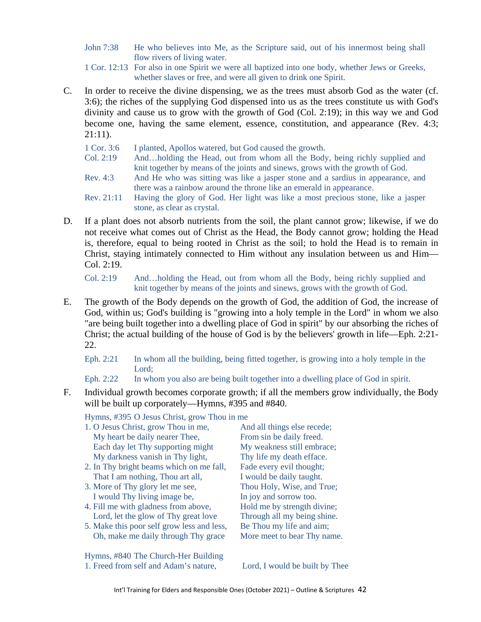John 7:38 He who believes into Me, as the Scripture said, out of his innermost being shall flow rivers of living water.

1 Cor. 12:13 For also in one Spirit we were all baptized into one body, whether Jews or Greeks, whether slaves or free, and were all given to drink one Spirit.

C. In order to receive the divine dispensing, we as the trees must absorb God as the water (cf. 3:6); the riches of the supplying God dispensed into us as the trees constitute us with God's divinity and cause us to grow with the growth of God (Col. 2:19); in this way we and God become one, having the same element, essence, constitution, and appearance (Rev. 4:3; 21:11).

1 Cor. 3:6 I planted, Apollos watered, but God caused the growth.

- Col. 2:19 And…holding the Head, out from whom all the Body, being richly supplied and knit together by means of the joints and sinews, grows with the growth of God.
- Rev. 4:3 And He who was sitting was like a jasper stone and a sardius in appearance, and there was a rainbow around the throne like an emerald in appearance.
- Rev. 21:11 Having the glory of God. Her light was like a most precious stone, like a jasper stone, as clear as crystal.
- D. If a plant does not absorb nutrients from the soil, the plant cannot grow; likewise, if we do not receive what comes out of Christ as the Head, the Body cannot grow; holding the Head is, therefore, equal to being rooted in Christ as the soil; to hold the Head is to remain in Christ, staying intimately connected to Him without any insulation between us and Him— Col. 2:19.

Col. 2:19 And…holding the Head, out from whom all the Body, being richly supplied and knit together by means of the joints and sinews, grows with the growth of God.

E. The growth of the Body depends on the growth of God, the addition of God, the increase of God, within us; God's building is "growing into a holy temple in the Lord" in whom we also "are being built together into a dwelling place of God in spirit" by our absorbing the riches of Christ; the actual building of the house of God is by the believers' growth in life—Eph. 2:21- 22.

Eph. 2:21 In whom all the building, being fitted together, is growing into a holy temple in the Lord;

Eph. 2:22 In whom you also are being built together into a dwelling place of God in spirit.

F. Individual growth becomes corporate growth; if all the members grow individually, the Body will be built up corporately—Hymns, #395 and #840.

Hymns, #395 O Jesus Christ, grow Thou in me

- 1. O Jesus Christ, grow Thou in me, And all things else recede; My heart be daily nearer Thee, From sin be daily freed. Each day let Thy supporting might My weakness still embrace; My darkness vanish in Thy light, Thy life my death efface.
- 2. In Thy bright beams which on me fall, Fade every evil thought; That I am nothing, Thou art all, I would be daily taught.
- 3. More of Thy glory let me see, Thou Holy, Wise, and True; I would Thy living image be, In joy and sorrow too.
- 4. Fill me with gladness from above, Hold me by strength divine; Lord, let the glow of Thy great love Through all my being shine.
- 5. Make this poor self grow less and less, Be Thou my life and aim; Oh, make me daily through Thy grace More meet to bear Thy name.

Hymns, #840 The Church-Her Building 1. Freed from self and Adam's nature, Lord, I would be built by Thee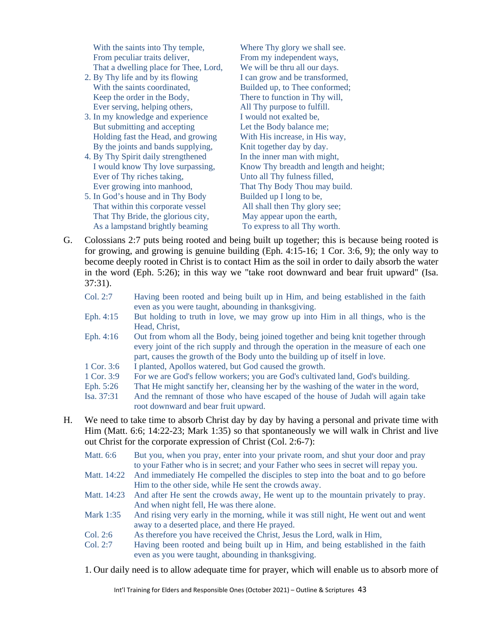With the saints into Thy temple, Where Thy glory we shall see. From peculiar traits deliver, From my independent ways, That a dwelling place for Thee, Lord, We will be thru all our days.

- 2. By Thy life and by its flowing I can grow and be transformed, With the saints coordinated, Builded up, to Thee conformed; Keep the order in the Body, There to function in Thy will, Ever serving, helping others, All Thy purpose to fulfill.
- 3. In my knowledge and experience I would not exalted be, But submitting and accepting Let the Body balance me; Holding fast the Head, and growing With His increase, in His way, By the joints and bands supplying, Knit together day by day.
- 4. By Thy Spirit daily strengthened In the inner man with might, Ever of Thy riches taking, Unto all Thy fulness filled,
- 5. In God's house and in Thy Body Builded up I long to be, That within this corporate vessel All shall then Thy glory see; That Thy Bride, the glorious city, May appear upon the earth, As a lampstand brightly beaming To express to all Thy worth.

I would know Thy love surpassing, Know Thy breadth and length and height; Ever growing into manhood, That Thy Body Thou may build.

G. Colossians 2:7 puts being rooted and being built up together; this is because being rooted is for growing, and growing is genuine building (Eph. 4:15-16; 1 Cor. 3:6, 9); the only way to become deeply rooted in Christ is to contact Him as the soil in order to daily absorb the water in the word (Eph. 5:26); in this way we "take root downward and bear fruit upward" (Isa. 37:31).

| Col. 2:7 | Having been rooted and being built up in Him, and being established in the faith |
|----------|----------------------------------------------------------------------------------|
|          | even as you were taught, abounding in thanksgiving.                              |

- Eph. 4:15 But holding to truth in love, we may grow up into Him in all things, who is the Head, Christ,
- Eph. 4:16 Out from whom all the Body, being joined together and being knit together through every joint of the rich supply and through the operation in the measure of each one part, causes the growth of the Body unto the building up of itself in love.
- 1 Cor. 3:6 I planted, Apollos watered, but God caused the growth.
- 1 Cor. 3:9 For we are God's fellow workers; you are God's cultivated land, God's building.
- Eph. 5:26 That He might sanctify her, cleansing her by the washing of the water in the word,
- Isa. 37:31 And the remnant of those who have escaped of the house of Judah will again take root downward and bear fruit upward.
- H. We need to take time to absorb Christ day by day by having a personal and private time with Him (Matt. 6:6; 14:22-23; Mark 1:35) so that spontaneously we will walk in Christ and live out Christ for the corporate expression of Christ (Col. 2:6-7):

| Matt. 6:6   | But you, when you pray, enter into your private room, and shut your door and pray<br>to your Father who is in secret; and your Father who sees in secret will repay you. |
|-------------|--------------------------------------------------------------------------------------------------------------------------------------------------------------------------|
| Matt. 14:22 | And immediately He compelled the disciples to step into the boat and to go before                                                                                        |
|             | Him to the other side, while He sent the crowds away.                                                                                                                    |
| Matt. 14:23 | And after He sent the crowds away, He went up to the mountain privately to pray.                                                                                         |
|             | And when night fell, He was there alone.                                                                                                                                 |
| Mark 1:35   | And rising very early in the morning, while it was still night, He went out and went                                                                                     |
|             | away to a deserted place, and there He prayed.                                                                                                                           |
| Col. 2:6    | As therefore you have received the Christ, Jesus the Lord, walk in Him,                                                                                                  |
| Col. 2:7    | Having been rooted and being built up in Him, and being established in the faith                                                                                         |
|             | even as you were taught, abounding in thanksgiving.                                                                                                                      |

1. Our daily need is to allow adequate time for prayer, which will enable us to absorb more of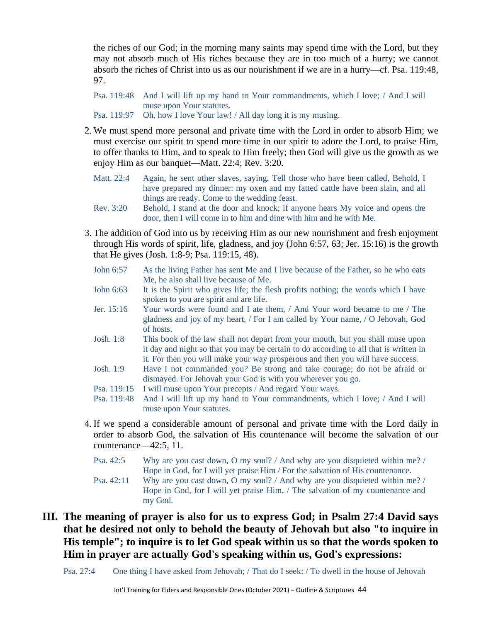the riches of our God; in the morning many saints may spend time with the Lord, but they may not absorb much of His riches because they are in too much of a hurry; we cannot absorb the riches of Christ into us as our nourishment if we are in a hurry—cf. Psa. 119:48, 97.

Psa. 119:48 And I will lift up my hand to Your commandments, which I love; / And I will muse upon Your statutes.

Psa. 119:97 Oh, how I love Your law! / All day long it is my musing.

- 2. We must spend more personal and private time with the Lord in order to absorb Him; we must exercise our spirit to spend more time in our spirit to adore the Lord, to praise Him, to offer thanks to Him, and to speak to Him freely; then God will give us the growth as we enjoy Him as our banquet—Matt. 22:4; Rev. 3:20.
	- Matt. 22:4 Again, he sent other slaves, saying, Tell those who have been called, Behold, I have prepared my dinner: my oxen and my fatted cattle have been slain, and all things are ready. Come to the wedding feast.
	- Rev. 3:20 Behold, I stand at the door and knock; if anyone hears My voice and opens the door, then I will come in to him and dine with him and he with Me.
- 3. The addition of God into us by receiving Him as our new nourishment and fresh enjoyment through His words of spirit, life, gladness, and joy (John 6:57, 63; Jer. 15:16) is the growth that He gives (Josh. 1:8-9; Psa. 119:15, 48).
	- John 6:57 As the living Father has sent Me and I live because of the Father, so he who eats Me, he also shall live because of Me.
	- John 6:63 It is the Spirit who gives life; the flesh profits nothing; the words which I have spoken to you are spirit and are life.
	- Jer. 15:16 Your words were found and I ate them, / And Your word became to me / The gladness and joy of my heart, / For I am called by Your name, / O Jehovah, God of hosts.
	- Josh. 1:8 This book of the law shall not depart from your mouth, but you shall muse upon it day and night so that you may be certain to do according to all that is written in it. For then you will make your way prosperous and then you will have success.
	- Josh. 1:9 Have I not commanded you? Be strong and take courage; do not be afraid or dismayed. For Jehovah your God is with you wherever you go.
	- Psa. 119:15 I will muse upon Your precepts / And regard Your ways.
	- Psa. 119:48 And I will lift up my hand to Your commandments, which I love; / And I will muse upon Your statutes.
- 4. If we spend a considerable amount of personal and private time with the Lord daily in order to absorb God, the salvation of His countenance will become the salvation of our countenance—42:5, 11.
	- Psa. 42:5 Why are you cast down, O my soul? / And why are you disquieted within me? / Hope in God, for I will yet praise Him / For the salvation of His countenance.
	- Psa. 42:11 Why are you cast down, O my soul? / And why are you disquieted within me? / Hope in God, for I will yet praise Him, / The salvation of my countenance and my God.
- **III. The meaning of prayer is also for us to express God; in Psalm 27:4 David says that he desired not only to behold the beauty of Jehovah but also "to inquire in His temple"; to inquire is to let God speak within us so that the words spoken to Him in prayer are actually God's speaking within us, God's expressions:**
	- Psa. 27:4 One thing I have asked from Jehovah; / That do I seek: / To dwell in the house of Jehovah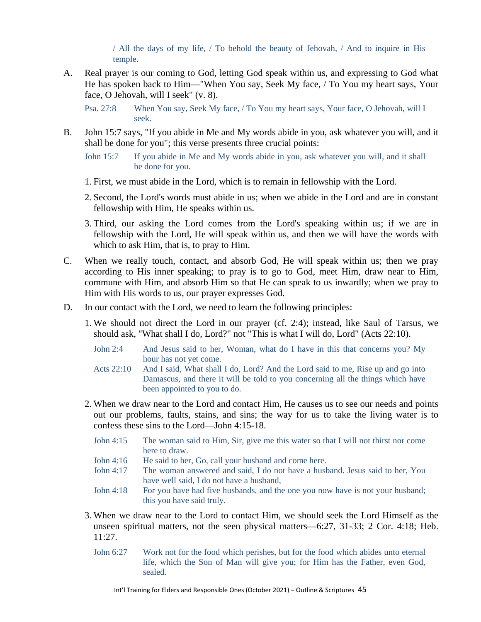/ All the days of my life, / To behold the beauty of Jehovah, / And to inquire in His temple.

A. Real prayer is our coming to God, letting God speak within us, and expressing to God what He has spoken back to Him—"When You say, Seek My face, / To You my heart says, Your face, O Jehovah, will I seek" (v. 8).

Psa. 27:8 When You say, Seek My face, / To You my heart says, Your face, O Jehovah, will I seek.

B. John 15:7 says, "If you abide in Me and My words abide in you, ask whatever you will, and it shall be done for you"; this verse presents three crucial points:

John 15:7 If you abide in Me and My words abide in you, ask whatever you will, and it shall be done for you.

- 1. First, we must abide in the Lord, which is to remain in fellowship with the Lord.
- 2. Second, the Lord's words must abide in us; when we abide in the Lord and are in constant fellowship with Him, He speaks within us.
- 3. Third, our asking the Lord comes from the Lord's speaking within us; if we are in fellowship with the Lord, He will speak within us, and then we will have the words with which to ask Him, that is, to pray to Him.
- C. When we really touch, contact, and absorb God, He will speak within us; then we pray according to His inner speaking; to pray is to go to God, meet Him, draw near to Him, commune with Him, and absorb Him so that He can speak to us inwardly; when we pray to Him with His words to us, our prayer expresses God.
- D. In our contact with the Lord, we need to learn the following principles:
	- 1. We should not direct the Lord in our prayer (cf. 2:4); instead, like Saul of Tarsus, we should ask, "What shall I do, Lord?" not "This is what I will do, Lord" (Acts 22:10).
		- John 2:4 And Jesus said to her, Woman, what do I have in this that concerns you? My hour has not yet come.
		- Acts 22:10 And I said, What shall I do, Lord? And the Lord said to me, Rise up and go into Damascus, and there it will be told to you concerning all the things which have been appointed to you to do.
	- 2. When we draw near to the Lord and contact Him, He causes us to see our needs and points out our problems, faults, stains, and sins; the way for us to take the living water is to confess these sins to the Lord—John 4:15-18.
		- John 4:15 The woman said to Him, Sir, give me this water so that I will not thirst nor come here to draw.
		- John 4:16 He said to her, Go, call your husband and come here.
		- John 4:17 The woman answered and said, I do not have a husband. Jesus said to her, You have well said, I do not have a husband,
		- John 4:18 For you have had five husbands, and the one you now have is not your husband; this you have said truly.
	- 3. When we draw near to the Lord to contact Him, we should seek the Lord Himself as the unseen spiritual matters, not the seen physical matters—6:27, 31-33; 2 Cor. 4:18; Heb. 11:27.
		- John 6:27 Work not for the food which perishes, but for the food which abides unto eternal life, which the Son of Man will give you; for Him has the Father, even God, sealed.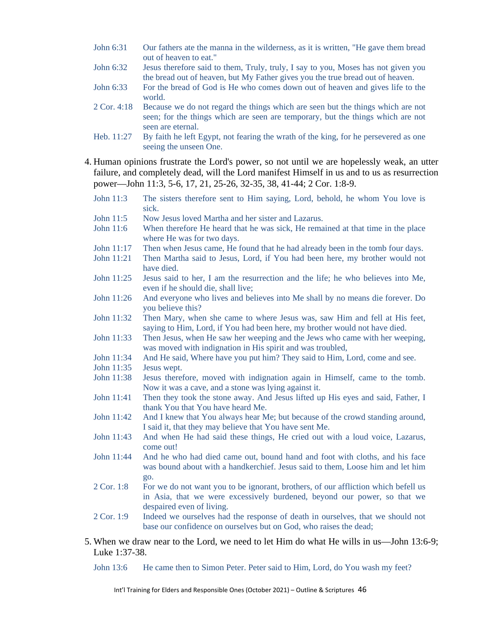- John 6:31 Our fathers ate the manna in the wilderness, as it is written, "He gave them bread out of heaven to eat."
- John 6:32 Jesus therefore said to them, Truly, truly, I say to you, Moses has not given you the bread out of heaven, but My Father gives you the true bread out of heaven.
- John 6:33 For the bread of God is He who comes down out of heaven and gives life to the world.
- 2 Cor. 4:18 Because we do not regard the things which are seen but the things which are not seen; for the things which are seen are temporary, but the things which are not seen are eternal.
- Heb. 11:27 By faith he left Egypt, not fearing the wrath of the king, for he persevered as one seeing the unseen One.
- 4. Human opinions frustrate the Lord's power, so not until we are hopelessly weak, an utter failure, and completely dead, will the Lord manifest Himself in us and to us as resurrection power—John 11:3, 5-6, 17, 21, 25-26, 32-35, 38, 41-44; 2 Cor. 1:8-9.
	- John 11:3 The sisters therefore sent to Him saying, Lord, behold, he whom You love is sick.
	- John 11:5 Now Jesus loved Martha and her sister and Lazarus.
	- John 11:6 When therefore He heard that he was sick, He remained at that time in the place where He was for two days.
	- John 11:17 Then when Jesus came, He found that he had already been in the tomb four days.
	- John 11:21 Then Martha said to Jesus, Lord, if You had been here, my brother would not have died.
	- John 11:25 Jesus said to her, I am the resurrection and the life; he who believes into Me, even if he should die, shall live;
	- John 11:26 And everyone who lives and believes into Me shall by no means die forever. Do you believe this?
	- John 11:32 Then Mary, when she came to where Jesus was, saw Him and fell at His feet, saying to Him, Lord, if You had been here, my brother would not have died.
	- John 11:33 Then Jesus, when He saw her weeping and the Jews who came with her weeping, was moved with indignation in His spirit and was troubled,
	- John 11:34 And He said, Where have you put him? They said to Him, Lord, come and see.
	- John 11:35 Jesus wept.
	- John 11:38 Jesus therefore, moved with indignation again in Himself, came to the tomb. Now it was a cave, and a stone was lying against it.
	- John 11:41 Then they took the stone away. And Jesus lifted up His eyes and said, Father, I thank You that You have heard Me.
	- John 11:42 And I knew that You always hear Me; but because of the crowd standing around, I said it, that they may believe that You have sent Me.
	- John 11:43 And when He had said these things, He cried out with a loud voice, Lazarus, come out!
	- John 11:44 And he who had died came out, bound hand and foot with cloths, and his face was bound about with a handkerchief. Jesus said to them, Loose him and let him go.
	- 2 Cor. 1:8 For we do not want you to be ignorant, brothers, of our affliction which befell us in Asia, that we were excessively burdened, beyond our power, so that we despaired even of living.
	- 2 Cor. 1:9 Indeed we ourselves had the response of death in ourselves, that we should not base our confidence on ourselves but on God, who raises the dead;
- 5. When we draw near to the Lord, we need to let Him do what He wills in us—John 13:6-9; Luke 1:37-38.
	- John 13:6 He came then to Simon Peter. Peter said to Him, Lord, do You wash my feet?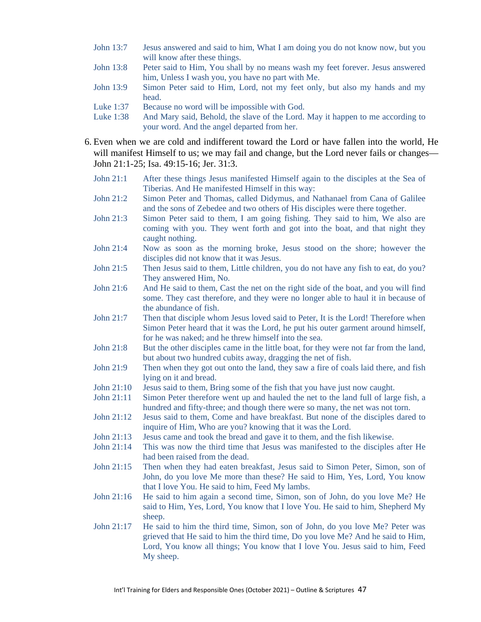- John 13:7 Jesus answered and said to him, What I am doing you do not know now, but you will know after these things.
- John 13:8 Peter said to Him, You shall by no means wash my feet forever. Jesus answered him, Unless I wash you, you have no part with Me.
- John 13:9 Simon Peter said to Him, Lord, not my feet only, but also my hands and my head.
- Luke 1:37 Because no word will be impossible with God.
- Luke 1:38 And Mary said, Behold, the slave of the Lord. May it happen to me according to your word. And the angel departed from her.
- 6. Even when we are cold and indifferent toward the Lord or have fallen into the world, He will manifest Himself to us; we may fail and change, but the Lord never fails or changes— John 21:1-25; Isa. 49:15-16; Jer. 31:3.
	- John 21:1 After these things Jesus manifested Himself again to the disciples at the Sea of Tiberias. And He manifested Himself in this way:
	- John 21:2 Simon Peter and Thomas, called Didymus, and Nathanael from Cana of Galilee and the sons of Zebedee and two others of His disciples were there together.
	- John 21:3 Simon Peter said to them, I am going fishing. They said to him, We also are coming with you. They went forth and got into the boat, and that night they caught nothing.
	- John 21:4 Now as soon as the morning broke, Jesus stood on the shore; however the disciples did not know that it was Jesus.
	- John 21:5 Then Jesus said to them, Little children, you do not have any fish to eat, do you? They answered Him, No.
	- John 21:6 And He said to them, Cast the net on the right side of the boat, and you will find some. They cast therefore, and they were no longer able to haul it in because of the abundance of fish.
	- John 21:7 Then that disciple whom Jesus loved said to Peter, It is the Lord! Therefore when Simon Peter heard that it was the Lord, he put his outer garment around himself, for he was naked; and he threw himself into the sea.
	- John 21:8 But the other disciples came in the little boat, for they were not far from the land, but about two hundred cubits away, dragging the net of fish.
	- John 21:9 Then when they got out onto the land, they saw a fire of coals laid there, and fish lying on it and bread.
	- John 21:10 Jesus said to them, Bring some of the fish that you have just now caught.
	- John 21:11 Simon Peter therefore went up and hauled the net to the land full of large fish, a hundred and fifty-three; and though there were so many, the net was not torn.
	- John 21:12 Jesus said to them, Come and have breakfast. But none of the disciples dared to inquire of Him, Who are you? knowing that it was the Lord.
	- John 21:13 Jesus came and took the bread and gave it to them, and the fish likewise.
	- John 21:14 This was now the third time that Jesus was manifested to the disciples after He had been raised from the dead.
	- John 21:15 Then when they had eaten breakfast, Jesus said to Simon Peter, Simon, son of John, do you love Me more than these? He said to Him, Yes, Lord, You know that I love You. He said to him, Feed My lambs.
	- John 21:16 He said to him again a second time, Simon, son of John, do you love Me? He said to Him, Yes, Lord, You know that I love You. He said to him, Shepherd My sheep.
	- John 21:17 He said to him the third time, Simon, son of John, do you love Me? Peter was grieved that He said to him the third time, Do you love Me? And he said to Him, Lord, You know all things; You know that I love You. Jesus said to him, Feed My sheep.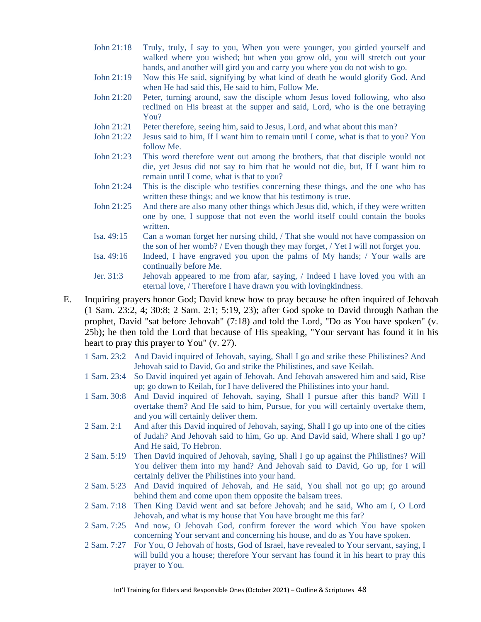- John 21:18 Truly, truly, I say to you, When you were younger, you girded yourself and walked where you wished; but when you grow old, you will stretch out your hands, and another will gird you and carry you where you do not wish to go.
- John 21:19 Now this He said, signifying by what kind of death he would glorify God. And when He had said this, He said to him, Follow Me.
- John 21:20 Peter, turning around, saw the disciple whom Jesus loved following, who also reclined on His breast at the supper and said, Lord, who is the one betraying You?
- John 21:21 Peter therefore, seeing him, said to Jesus, Lord, and what about this man?
- John 21:22 Jesus said to him, If I want him to remain until I come, what is that to you? You follow Me.
- John 21:23 This word therefore went out among the brothers, that that disciple would not die, yet Jesus did not say to him that he would not die, but, If I want him to remain until I come, what is that to you?
- John 21:24 This is the disciple who testifies concerning these things, and the one who has written these things; and we know that his testimony is true.
- John 21:25 And there are also many other things which Jesus did, which, if they were written one by one, I suppose that not even the world itself could contain the books written.
- Isa. 49:15 Can a woman forget her nursing child, / That she would not have compassion on the son of her womb? / Even though they may forget, / Yet I will not forget you.
- Isa. 49:16 Indeed, I have engraved you upon the palms of My hands; / Your walls are continually before Me.
- Jer. 31:3 Jehovah appeared to me from afar, saying, / Indeed I have loved you with an eternal love, / Therefore I have drawn you with lovingkindness.

E. Inquiring prayers honor God; David knew how to pray because he often inquired of Jehovah (1 Sam. 23:2, 4; 30:8; 2 Sam. 2:1; 5:19, 23); after God spoke to David through Nathan the prophet, David "sat before Jehovah" (7:18) and told the Lord, "Do as You have spoken" (v. 25b); he then told the Lord that because of His speaking, "Your servant has found it in his heart to pray this prayer to You" (v. 27).

- 1 Sam. 23:2 And David inquired of Jehovah, saying, Shall I go and strike these Philistines? And Jehovah said to David, Go and strike the Philistines, and save Keilah.
- 1 Sam. 23:4 So David inquired yet again of Jehovah. And Jehovah answered him and said, Rise up; go down to Keilah, for I have delivered the Philistines into your hand.
- 1 Sam. 30:8 And David inquired of Jehovah, saying, Shall I pursue after this band? Will I overtake them? And He said to him, Pursue, for you will certainly overtake them, and you will certainly deliver them.
- 2 Sam. 2:1 And after this David inquired of Jehovah, saying, Shall I go up into one of the cities of Judah? And Jehovah said to him, Go up. And David said, Where shall I go up? And He said, To Hebron.
- 2 Sam. 5:19 Then David inquired of Jehovah, saying, Shall I go up against the Philistines? Will You deliver them into my hand? And Jehovah said to David, Go up, for I will certainly deliver the Philistines into your hand.
- 2 Sam. 5:23 And David inquired of Jehovah, and He said, You shall not go up; go around behind them and come upon them opposite the balsam trees.
- 2 Sam. 7:18 Then King David went and sat before Jehovah; and he said, Who am I, O Lord Jehovah, and what is my house that You have brought me this far?
- 2 Sam. 7:25 And now, O Jehovah God, confirm forever the word which You have spoken concerning Your servant and concerning his house, and do as You have spoken.
- 2 Sam. 7:27 For You, O Jehovah of hosts, God of Israel, have revealed to Your servant, saying, I will build you a house; therefore Your servant has found it in his heart to pray this prayer to You.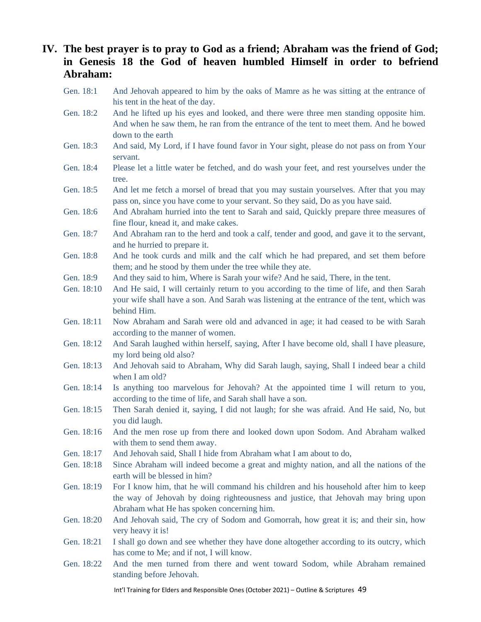### **IV. The best prayer is to pray to God as a friend; Abraham was the friend of God; in Genesis 18 the God of heaven humbled Himself in order to befriend Abraham:**

- Gen. 18:1 And Jehovah appeared to him by the oaks of Mamre as he was sitting at the entrance of his tent in the heat of the day.
- Gen. 18:2 And he lifted up his eyes and looked, and there were three men standing opposite him. And when he saw them, he ran from the entrance of the tent to meet them. And he bowed down to the earth
- Gen. 18:3 And said, My Lord, if I have found favor in Your sight, please do not pass on from Your servant.
- Gen. 18:4 Please let a little water be fetched, and do wash your feet, and rest yourselves under the tree.
- Gen. 18:5 And let me fetch a morsel of bread that you may sustain yourselves. After that you may pass on, since you have come to your servant. So they said, Do as you have said.
- Gen. 18:6 And Abraham hurried into the tent to Sarah and said, Quickly prepare three measures of fine flour, knead it, and make cakes.
- Gen. 18:7 And Abraham ran to the herd and took a calf, tender and good, and gave it to the servant, and he hurried to prepare it.
- Gen. 18:8 And he took curds and milk and the calf which he had prepared, and set them before them; and he stood by them under the tree while they ate.
- Gen. 18:9 And they said to him, Where is Sarah your wife? And he said, There, in the tent.
- Gen. 18:10 And He said, I will certainly return to you according to the time of life, and then Sarah your wife shall have a son. And Sarah was listening at the entrance of the tent, which was behind Him.
- Gen. 18:11 Now Abraham and Sarah were old and advanced in age; it had ceased to be with Sarah according to the manner of women.
- Gen. 18:12 And Sarah laughed within herself, saying, After I have become old, shall I have pleasure, my lord being old also?
- Gen. 18:13 And Jehovah said to Abraham, Why did Sarah laugh, saying, Shall I indeed bear a child when I am old?
- Gen. 18:14 Is anything too marvelous for Jehovah? At the appointed time I will return to you, according to the time of life, and Sarah shall have a son.
- Gen. 18:15 Then Sarah denied it, saying, I did not laugh; for she was afraid. And He said, No, but you did laugh.
- Gen. 18:16 And the men rose up from there and looked down upon Sodom. And Abraham walked with them to send them away.
- Gen. 18:17 And Jehovah said, Shall I hide from Abraham what I am about to do,
- Gen. 18:18 Since Abraham will indeed become a great and mighty nation, and all the nations of the earth will be blessed in him?
- Gen. 18:19 For I know him, that he will command his children and his household after him to keep the way of Jehovah by doing righteousness and justice, that Jehovah may bring upon Abraham what He has spoken concerning him.
- Gen. 18:20 And Jehovah said, The cry of Sodom and Gomorrah, how great it is; and their sin, how very heavy it is!
- Gen. 18:21 I shall go down and see whether they have done altogether according to its outcry, which has come to Me; and if not, I will know.
- Gen. 18:22 And the men turned from there and went toward Sodom, while Abraham remained standing before Jehovah.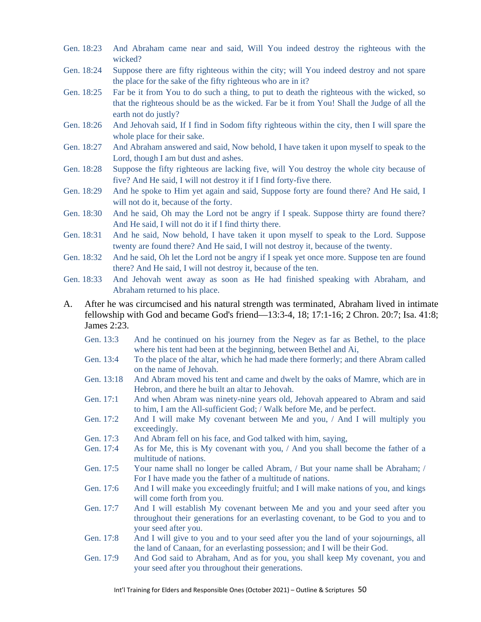- Gen. 18:23 And Abraham came near and said, Will You indeed destroy the righteous with the wicked?
- Gen. 18:24 Suppose there are fifty righteous within the city; will You indeed destroy and not spare the place for the sake of the fifty righteous who are in it?
- Gen. 18:25 Far be it from You to do such a thing, to put to death the righteous with the wicked, so that the righteous should be as the wicked. Far be it from You! Shall the Judge of all the earth not do justly?
- Gen. 18:26 And Jehovah said, If I find in Sodom fifty righteous within the city, then I will spare the whole place for their sake.
- Gen. 18:27 And Abraham answered and said, Now behold, I have taken it upon myself to speak to the Lord, though I am but dust and ashes.
- Gen. 18:28 Suppose the fifty righteous are lacking five, will You destroy the whole city because of five? And He said, I will not destroy it if I find forty-five there.
- Gen. 18:29 And he spoke to Him yet again and said, Suppose forty are found there? And He said, I will not do it, because of the forty.
- Gen. 18:30 And he said, Oh may the Lord not be angry if I speak. Suppose thirty are found there? And He said, I will not do it if I find thirty there.
- Gen. 18:31 And he said, Now behold, I have taken it upon myself to speak to the Lord. Suppose twenty are found there? And He said, I will not destroy it, because of the twenty.
- Gen. 18:32 And he said, Oh let the Lord not be angry if I speak yet once more. Suppose ten are found there? And He said, I will not destroy it, because of the ten.
- Gen. 18:33 And Jehovah went away as soon as He had finished speaking with Abraham, and Abraham returned to his place.
- A. After he was circumcised and his natural strength was terminated, Abraham lived in intimate fellowship with God and became God's friend—13:3-4, 18; 17:1-16; 2 Chron. 20:7; Isa. 41:8; James 2:23.
	- Gen. 13:3 And he continued on his journey from the Negev as far as Bethel, to the place where his tent had been at the beginning, between Bethel and Ai,
	- Gen. 13:4 To the place of the altar, which he had made there formerly; and there Abram called on the name of Jehovah.
	- Gen. 13:18 And Abram moved his tent and came and dwelt by the oaks of Mamre, which are in Hebron, and there he built an altar to Jehovah.
	- Gen. 17:1 And when Abram was ninety-nine years old, Jehovah appeared to Abram and said to him, I am the All-sufficient God; / Walk before Me, and be perfect.
	- Gen. 17:2 And I will make My covenant between Me and you, / And I will multiply you exceedingly.
	- Gen. 17:3 And Abram fell on his face, and God talked with him, saying,
	- Gen. 17:4 As for Me, this is My covenant with you, / And you shall become the father of a multitude of nations.
	- Gen. 17:5 Your name shall no longer be called Abram, / But your name shall be Abraham; / For I have made you the father of a multitude of nations.
	- Gen. 17:6 And I will make you exceedingly fruitful; and I will make nations of you, and kings will come forth from you.
	- Gen. 17:7 And I will establish My covenant between Me and you and your seed after you throughout their generations for an everlasting covenant, to be God to you and to your seed after you.
	- Gen. 17:8 And I will give to you and to your seed after you the land of your sojournings, all the land of Canaan, for an everlasting possession; and I will be their God.
	- Gen. 17:9 And God said to Abraham, And as for you, you shall keep My covenant, you and your seed after you throughout their generations.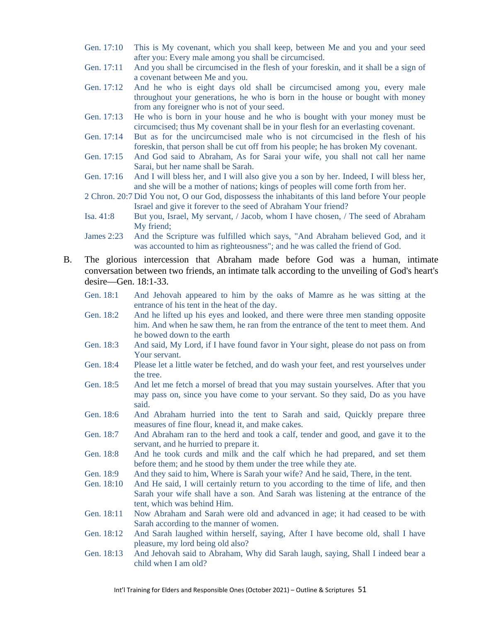- Gen. 17:10 This is My covenant, which you shall keep, between Me and you and your seed after you: Every male among you shall be circumcised.
- Gen. 17:11 And you shall be circumcised in the flesh of your foreskin, and it shall be a sign of a covenant between Me and you.
- Gen. 17:12 And he who is eight days old shall be circumcised among you, every male throughout your generations, he who is born in the house or bought with money from any foreigner who is not of your seed.
- Gen. 17:13 He who is born in your house and he who is bought with your money must be circumcised; thus My covenant shall be in your flesh for an everlasting covenant.
- Gen. 17:14 But as for the uncircumcised male who is not circumcised in the flesh of his foreskin, that person shall be cut off from his people; he has broken My covenant.
- Gen. 17:15 And God said to Abraham, As for Sarai your wife, you shall not call her name Sarai, but her name shall be Sarah.
- Gen. 17:16 And I will bless her, and I will also give you a son by her. Indeed, I will bless her, and she will be a mother of nations; kings of peoples will come forth from her.
- 2 Chron. 20:7 Did You not, O our God, dispossess the inhabitants of this land before Your people Israel and give it forever to the seed of Abraham Your friend?
- Isa. 41:8 But you, Israel, My servant, / Jacob, whom I have chosen, / The seed of Abraham My friend;
- James 2:23 And the Scripture was fulfilled which says, "And Abraham believed God, and it was accounted to him as righteousness"; and he was called the friend of God.
- B. The glorious intercession that Abraham made before God was a human, intimate conversation between two friends, an intimate talk according to the unveiling of God's heart's desire—Gen. 18:1-33.
	- Gen. 18:1 And Jehovah appeared to him by the oaks of Mamre as he was sitting at the entrance of his tent in the heat of the day.
	- Gen. 18:2 And he lifted up his eyes and looked, and there were three men standing opposite him. And when he saw them, he ran from the entrance of the tent to meet them. And he bowed down to the earth
	- Gen. 18:3 And said, My Lord, if I have found favor in Your sight, please do not pass on from Your servant.
	- Gen. 18:4 Please let a little water be fetched, and do wash your feet, and rest yourselves under the tree.
	- Gen. 18:5 And let me fetch a morsel of bread that you may sustain yourselves. After that you may pass on, since you have come to your servant. So they said, Do as you have said.
	- Gen. 18:6 And Abraham hurried into the tent to Sarah and said, Quickly prepare three measures of fine flour, knead it, and make cakes.
	- Gen. 18:7 And Abraham ran to the herd and took a calf, tender and good, and gave it to the servant, and he hurried to prepare it.
	- Gen. 18:8 And he took curds and milk and the calf which he had prepared, and set them before them; and he stood by them under the tree while they ate.
	- Gen. 18:9 And they said to him, Where is Sarah your wife? And he said, There, in the tent.
	- Gen. 18:10 And He said, I will certainly return to you according to the time of life, and then Sarah your wife shall have a son. And Sarah was listening at the entrance of the tent, which was behind Him.
	- Gen. 18:11 Now Abraham and Sarah were old and advanced in age; it had ceased to be with Sarah according to the manner of women.
	- Gen. 18:12 And Sarah laughed within herself, saying, After I have become old, shall I have pleasure, my lord being old also?
	- Gen. 18:13 And Jehovah said to Abraham, Why did Sarah laugh, saying, Shall I indeed bear a child when I am old?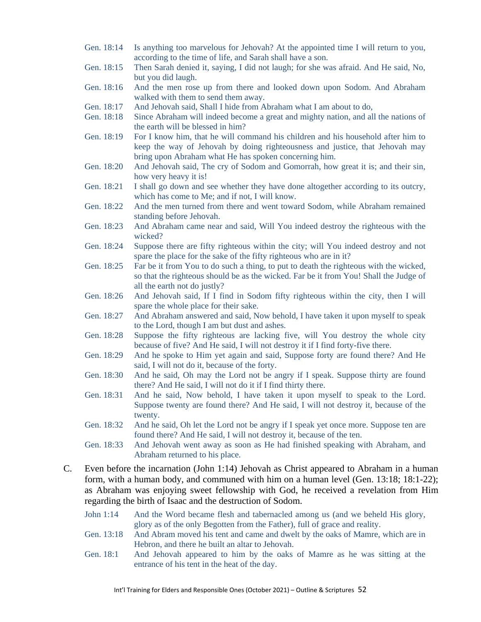- Gen. 18:14 Is anything too marvelous for Jehovah? At the appointed time I will return to you, according to the time of life, and Sarah shall have a son.
- Gen. 18:15 Then Sarah denied it, saying, I did not laugh; for she was afraid. And He said, No, but you did laugh.
- Gen. 18:16 And the men rose up from there and looked down upon Sodom. And Abraham walked with them to send them away.
- Gen. 18:17 And Jehovah said, Shall I hide from Abraham what I am about to do,
- Gen. 18:18 Since Abraham will indeed become a great and mighty nation, and all the nations of the earth will be blessed in him?
- Gen. 18:19 For I know him, that he will command his children and his household after him to keep the way of Jehovah by doing righteousness and justice, that Jehovah may bring upon Abraham what He has spoken concerning him.
- Gen. 18:20 And Jehovah said, The cry of Sodom and Gomorrah, how great it is; and their sin, how very heavy it is!
- Gen. 18:21 I shall go down and see whether they have done altogether according to its outcry, which has come to Me; and if not, I will know.
- Gen. 18:22 And the men turned from there and went toward Sodom, while Abraham remained standing before Jehovah.
- Gen. 18:23 And Abraham came near and said, Will You indeed destroy the righteous with the wicked?
- Gen. 18:24 Suppose there are fifty righteous within the city; will You indeed destroy and not spare the place for the sake of the fifty righteous who are in it?
- Gen. 18:25 Far be it from You to do such a thing, to put to death the righteous with the wicked, so that the righteous should be as the wicked. Far be it from You! Shall the Judge of all the earth not do justly?
- Gen. 18:26 And Jehovah said, If I find in Sodom fifty righteous within the city, then I will spare the whole place for their sake.
- Gen. 18:27 And Abraham answered and said, Now behold, I have taken it upon myself to speak to the Lord, though I am but dust and ashes.
- Gen. 18:28 Suppose the fifty righteous are lacking five, will You destroy the whole city because of five? And He said, I will not destroy it if I find forty-five there.
- Gen. 18:29 And he spoke to Him yet again and said, Suppose forty are found there? And He said, I will not do it, because of the forty.
- Gen. 18:30 And he said, Oh may the Lord not be angry if I speak. Suppose thirty are found there? And He said, I will not do it if I find thirty there.
- Gen. 18:31 And he said, Now behold, I have taken it upon myself to speak to the Lord. Suppose twenty are found there? And He said, I will not destroy it, because of the twenty.
- Gen. 18:32 And he said, Oh let the Lord not be angry if I speak yet once more. Suppose ten are found there? And He said, I will not destroy it, because of the ten.
- Gen. 18:33 And Jehovah went away as soon as He had finished speaking with Abraham, and Abraham returned to his place.
- C. Even before the incarnation (John 1:14) Jehovah as Christ appeared to Abraham in a human form, with a human body, and communed with him on a human level (Gen. 13:18; 18:1-22); as Abraham was enjoying sweet fellowship with God, he received a revelation from Him regarding the birth of Isaac and the destruction of Sodom.
	- John 1:14 And the Word became flesh and tabernacled among us (and we beheld His glory, glory as of the only Begotten from the Father), full of grace and reality.
	- Gen. 13:18 And Abram moved his tent and came and dwelt by the oaks of Mamre, which are in Hebron, and there he built an altar to Jehovah.
	- Gen. 18:1 And Jehovah appeared to him by the oaks of Mamre as he was sitting at the entrance of his tent in the heat of the day.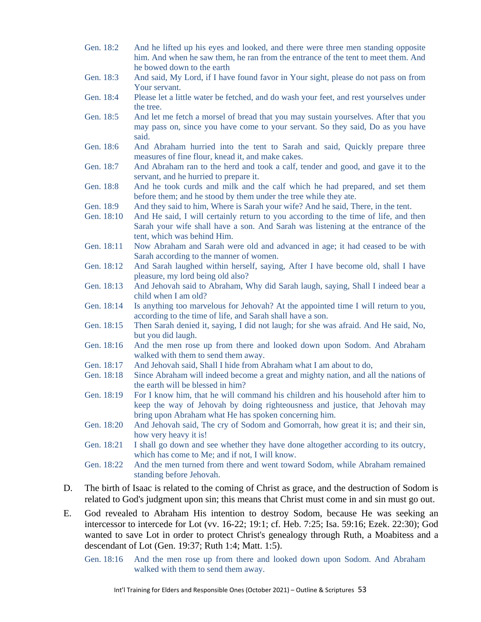- Gen. 18:2 And he lifted up his eyes and looked, and there were three men standing opposite him. And when he saw them, he ran from the entrance of the tent to meet them. And he bowed down to the earth
- Gen. 18:3 And said, My Lord, if I have found favor in Your sight, please do not pass on from Your servant.
- Gen. 18:4 Please let a little water be fetched, and do wash your feet, and rest yourselves under the tree.
- Gen. 18:5 And let me fetch a morsel of bread that you may sustain yourselves. After that you may pass on, since you have come to your servant. So they said, Do as you have said.
- Gen. 18:6 And Abraham hurried into the tent to Sarah and said, Quickly prepare three measures of fine flour, knead it, and make cakes.
- Gen. 18:7 And Abraham ran to the herd and took a calf, tender and good, and gave it to the servant, and he hurried to prepare it.
- Gen. 18:8 And he took curds and milk and the calf which he had prepared, and set them before them; and he stood by them under the tree while they ate.
- Gen. 18:9 And they said to him, Where is Sarah your wife? And he said, There, in the tent.
- Gen. 18:10 And He said, I will certainly return to you according to the time of life, and then Sarah your wife shall have a son. And Sarah was listening at the entrance of the tent, which was behind Him.
- Gen. 18:11 Now Abraham and Sarah were old and advanced in age; it had ceased to be with Sarah according to the manner of women.
- Gen. 18:12 And Sarah laughed within herself, saying, After I have become old, shall I have pleasure, my lord being old also?
- Gen. 18:13 And Jehovah said to Abraham, Why did Sarah laugh, saying, Shall I indeed bear a child when I am old?
- Gen. 18:14 Is anything too marvelous for Jehovah? At the appointed time I will return to you, according to the time of life, and Sarah shall have a son.
- Gen. 18:15 Then Sarah denied it, saying, I did not laugh; for she was afraid. And He said, No, but you did laugh.
- Gen. 18:16 And the men rose up from there and looked down upon Sodom. And Abraham walked with them to send them away.
- Gen. 18:17 And Jehovah said, Shall I hide from Abraham what I am about to do,
- Gen. 18:18 Since Abraham will indeed become a great and mighty nation, and all the nations of the earth will be blessed in him?
- Gen. 18:19 For I know him, that he will command his children and his household after him to keep the way of Jehovah by doing righteousness and justice, that Jehovah may bring upon Abraham what He has spoken concerning him.
- Gen. 18:20 And Jehovah said, The cry of Sodom and Gomorrah, how great it is; and their sin, how very heavy it is!
- Gen. 18:21 I shall go down and see whether they have done altogether according to its outcry, which has come to Me; and if not, I will know.
- Gen. 18:22 And the men turned from there and went toward Sodom, while Abraham remained standing before Jehovah.
- D. The birth of Isaac is related to the coming of Christ as grace, and the destruction of Sodom is related to God's judgment upon sin; this means that Christ must come in and sin must go out.
- E. God revealed to Abraham His intention to destroy Sodom, because He was seeking an intercessor to intercede for Lot (vv. 16-22; 19:1; cf. Heb. 7:25; Isa. 59:16; Ezek. 22:30); God wanted to save Lot in order to protect Christ's genealogy through Ruth, a Moabitess and a descendant of Lot (Gen. 19:37; Ruth 1:4; Matt. 1:5).

Gen. 18:16 And the men rose up from there and looked down upon Sodom. And Abraham walked with them to send them away.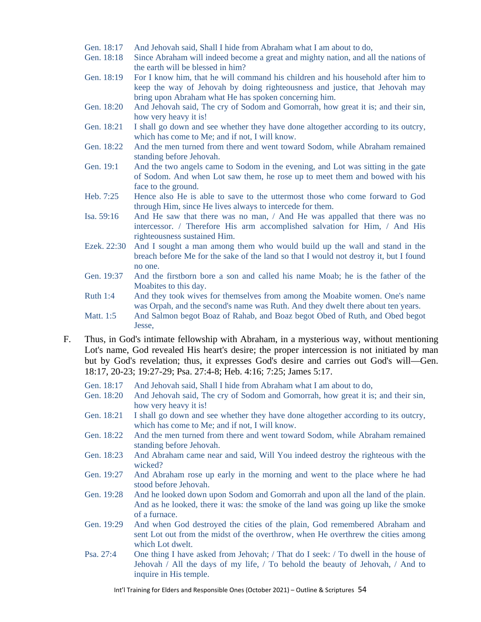- Gen. 18:17 And Jehovah said, Shall I hide from Abraham what I am about to do,
- Gen. 18:18 Since Abraham will indeed become a great and mighty nation, and all the nations of the earth will be blessed in him?
- Gen. 18:19 For I know him, that he will command his children and his household after him to keep the way of Jehovah by doing righteousness and justice, that Jehovah may bring upon Abraham what He has spoken concerning him.
- Gen. 18:20 And Jehovah said, The cry of Sodom and Gomorrah, how great it is; and their sin, how very heavy it is!
- Gen. 18:21 I shall go down and see whether they have done altogether according to its outcry, which has come to Me; and if not, I will know.
- Gen. 18:22 And the men turned from there and went toward Sodom, while Abraham remained standing before Jehovah.
- Gen. 19:1 And the two angels came to Sodom in the evening, and Lot was sitting in the gate of Sodom. And when Lot saw them, he rose up to meet them and bowed with his face to the ground.
- Heb. 7:25 Hence also He is able to save to the uttermost those who come forward to God through Him, since He lives always to intercede for them.
- Isa. 59:16 And He saw that there was no man, / And He was appalled that there was no intercessor. / Therefore His arm accomplished salvation for Him, / And His righteousness sustained Him.
- Ezek. 22:30 And I sought a man among them who would build up the wall and stand in the breach before Me for the sake of the land so that I would not destroy it, but I found no one.
- Gen. 19:37 And the firstborn bore a son and called his name Moab; he is the father of the Moabites to this day.
- Ruth 1:4 And they took wives for themselves from among the Moabite women. One's name was Orpah, and the second's name was Ruth. And they dwelt there about ten years.
- Matt. 1:5 And Salmon begot Boaz of Rahab, and Boaz begot Obed of Ruth, and Obed begot Jesse,
- F. Thus, in God's intimate fellowship with Abraham, in a mysterious way, without mentioning Lot's name, God revealed His heart's desire; the proper intercession is not initiated by man but by God's revelation; thus, it expresses God's desire and carries out God's will—Gen. 18:17, 20-23; 19:27-29; Psa. 27:4-8; Heb. 4:16; 7:25; James 5:17.
	- Gen. 18:17 And Jehovah said, Shall I hide from Abraham what I am about to do,
	- Gen. 18:20 And Jehovah said, The cry of Sodom and Gomorrah, how great it is; and their sin, how very heavy it is!
	- Gen. 18:21 I shall go down and see whether they have done altogether according to its outcry, which has come to Me; and if not, I will know.
	- Gen. 18:22 And the men turned from there and went toward Sodom, while Abraham remained standing before Jehovah.
	- Gen. 18:23 And Abraham came near and said, Will You indeed destroy the righteous with the wicked?
	- Gen. 19:27 And Abraham rose up early in the morning and went to the place where he had stood before Jehovah.
	- Gen. 19:28 And he looked down upon Sodom and Gomorrah and upon all the land of the plain. And as he looked, there it was: the smoke of the land was going up like the smoke of a furnace.
	- Gen. 19:29 And when God destroyed the cities of the plain, God remembered Abraham and sent Lot out from the midst of the overthrow, when He overthrew the cities among which Lot dwelt.
	- Psa. 27:4 One thing I have asked from Jehovah; / That do I seek: / To dwell in the house of Jehovah / All the days of my life, / To behold the beauty of Jehovah, / And to inquire in His temple.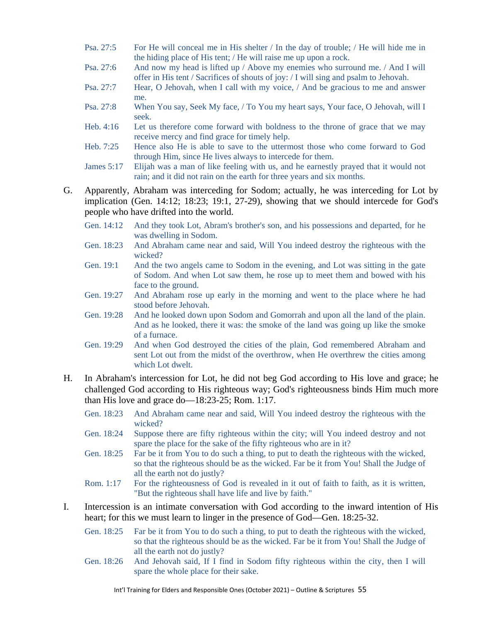- Psa. 27:5 For He will conceal me in His shelter / In the day of trouble; / He will hide me in the hiding place of His tent; / He will raise me up upon a rock.
- Psa. 27:6 And now my head is lifted up / Above my enemies who surround me. / And I will offer in His tent / Sacrifices of shouts of joy: / I will sing and psalm to Jehovah.
- Psa. 27:7 Hear, O Jehovah, when I call with my voice, / And be gracious to me and answer me.
- Psa. 27:8 When You say, Seek My face, / To You my heart says, Your face, O Jehovah, will I seek.
- Heb. 4:16 Let us therefore come forward with boldness to the throne of grace that we may receive mercy and find grace for timely help.
- Heb. 7:25 Hence also He is able to save to the uttermost those who come forward to God through Him, since He lives always to intercede for them.

James 5:17 Elijah was a man of like feeling with us, and he earnestly prayed that it would not rain; and it did not rain on the earth for three years and six months.

- G. Apparently, Abraham was interceding for Sodom; actually, he was interceding for Lot by implication (Gen. 14:12; 18:23; 19:1, 27-29), showing that we should intercede for God's people who have drifted into the world.
	- Gen. 14:12 And they took Lot, Abram's brother's son, and his possessions and departed, for he was dwelling in Sodom.
	- Gen. 18:23 And Abraham came near and said, Will You indeed destroy the righteous with the wicked?
	- Gen. 19:1 And the two angels came to Sodom in the evening, and Lot was sitting in the gate of Sodom. And when Lot saw them, he rose up to meet them and bowed with his face to the ground.
	- Gen. 19:27 And Abraham rose up early in the morning and went to the place where he had stood before Jehovah.
	- Gen. 19:28 And he looked down upon Sodom and Gomorrah and upon all the land of the plain. And as he looked, there it was: the smoke of the land was going up like the smoke of a furnace.
	- Gen. 19:29 And when God destroyed the cities of the plain, God remembered Abraham and sent Lot out from the midst of the overthrow, when He overthrew the cities among which Lot dwelt.
- H. In Abraham's intercession for Lot, he did not beg God according to His love and grace; he challenged God according to His righteous way; God's righteousness binds Him much more than His love and grace do—18:23-25; Rom. 1:17.
	- Gen. 18:23 And Abraham came near and said, Will You indeed destroy the righteous with the wicked?
	- Gen. 18:24 Suppose there are fifty righteous within the city; will You indeed destroy and not spare the place for the sake of the fifty righteous who are in it?
	- Gen. 18:25 Far be it from You to do such a thing, to put to death the righteous with the wicked, so that the righteous should be as the wicked. Far be it from You! Shall the Judge of all the earth not do justly?
	- Rom. 1:17 For the righteousness of God is revealed in it out of faith to faith, as it is written, "But the righteous shall have life and live by faith."
- I. Intercession is an intimate conversation with God according to the inward intention of His heart; for this we must learn to linger in the presence of God—Gen. 18:25-32.
	- Gen. 18:25 Far be it from You to do such a thing, to put to death the righteous with the wicked, so that the righteous should be as the wicked. Far be it from You! Shall the Judge of all the earth not do justly?
	- Gen. 18:26 And Jehovah said, If I find in Sodom fifty righteous within the city, then I will spare the whole place for their sake.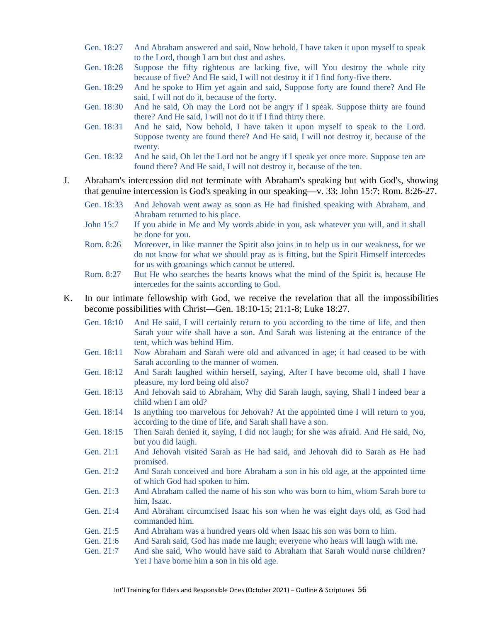- Gen. 18:27 And Abraham answered and said, Now behold, I have taken it upon myself to speak to the Lord, though I am but dust and ashes.
- Gen. 18:28 Suppose the fifty righteous are lacking five, will You destroy the whole city because of five? And He said, I will not destroy it if I find forty-five there.
- Gen. 18:29 And he spoke to Him yet again and said, Suppose forty are found there? And He said, I will not do it, because of the forty.
- Gen. 18:30 And he said, Oh may the Lord not be angry if I speak. Suppose thirty are found there? And He said, I will not do it if I find thirty there.
- Gen. 18:31 And he said, Now behold, I have taken it upon myself to speak to the Lord. Suppose twenty are found there? And He said, I will not destroy it, because of the twenty.
- Gen. 18:32 And he said, Oh let the Lord not be angry if I speak yet once more. Suppose ten are found there? And He said, I will not destroy it, because of the ten.
- J. Abraham's intercession did not terminate with Abraham's speaking but with God's, showing that genuine intercession is God's speaking in our speaking—v. 33; John 15:7; Rom. 8:26-27.
	- Gen. 18:33 And Jehovah went away as soon as He had finished speaking with Abraham, and Abraham returned to his place.
	- John 15:7 If you abide in Me and My words abide in you, ask whatever you will, and it shall be done for you.
	- Rom. 8:26 Moreover, in like manner the Spirit also joins in to help us in our weakness, for we do not know for what we should pray as is fitting, but the Spirit Himself intercedes for us with groanings which cannot be uttered.
	- Rom. 8:27 But He who searches the hearts knows what the mind of the Spirit is, because He intercedes for the saints according to God.
- K. In our intimate fellowship with God, we receive the revelation that all the impossibilities become possibilities with Christ—Gen. 18:10-15; 21:1-8; Luke 18:27.
	- Gen. 18:10 And He said, I will certainly return to you according to the time of life, and then Sarah your wife shall have a son. And Sarah was listening at the entrance of the tent, which was behind Him. Gen. 18:11 Now Abraham and Sarah were old and advanced in age; it had ceased to be with
	- Sarah according to the manner of women.
	- Gen. 18:12 And Sarah laughed within herself, saying, After I have become old, shall I have pleasure, my lord being old also?
	- Gen. 18:13 And Jehovah said to Abraham, Why did Sarah laugh, saying, Shall I indeed bear a child when I am old?
	- Gen. 18:14 Is anything too marvelous for Jehovah? At the appointed time I will return to you, according to the time of life, and Sarah shall have a son.
	- Gen. 18:15 Then Sarah denied it, saying, I did not laugh; for she was afraid. And He said, No, but you did laugh.
	- Gen. 21:1 And Jehovah visited Sarah as He had said, and Jehovah did to Sarah as He had promised.
	- Gen. 21:2 And Sarah conceived and bore Abraham a son in his old age, at the appointed time of which God had spoken to him.
	- Gen. 21:3 And Abraham called the name of his son who was born to him, whom Sarah bore to him, Isaac.
	- Gen. 21:4 And Abraham circumcised Isaac his son when he was eight days old, as God had commanded him.
	- Gen. 21:5 And Abraham was a hundred years old when Isaac his son was born to him.
	- Gen. 21:6 And Sarah said, God has made me laugh; everyone who hears will laugh with me.
	- Gen. 21:7 And she said, Who would have said to Abraham that Sarah would nurse children? Yet I have borne him a son in his old age.